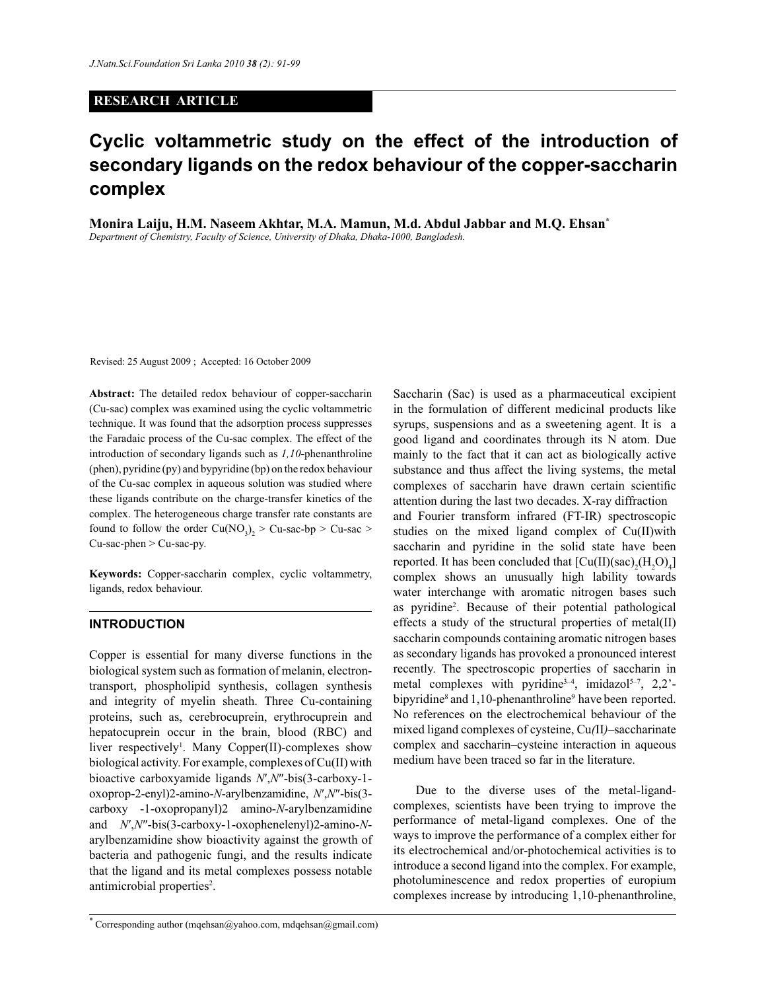## **RESEARCH ARTICLE**

# **Cyclic voltammetric study on the effect of the introduction of secondary ligands on the redox behaviour of the copper-saccharin complex**

**Monira Laiju, H.M. Naseem Akhtar, M.A. Mamun, M.d. Abdul Jabbar and M.Q. Ehsan\*** *Department of Chemistry, Faculty of Science, University of Dhaka, Dhaka-1000, Bangladesh.*

Revised: 25 August 2009 ; Accepted: 16 October 2009

**Abstract:** The detailed redox behaviour of copper-saccharin (Cu-sac) complex was examined using the cyclic voltammetric technique. It was found that the adsorption process suppresses the Faradaic process of the Cu-sac complex. The effect of the introduction of secondary ligands such as *1,10***-**phenanthroline (phen), pyridine (py) and bypyridine (bp) on the redox behaviour of the Cu-sac complex in aqueous solution was studied where these ligands contribute on the charge-transfer kinetics of the complex. The heterogeneous charge transfer rate constants are found to follow the order  $Cu(NO_3)_2 > Cu$ -sac-bp  $> Cu$ -sac  $>$ Cu-sac-phen > Cu-sac-py.

**Keywords:** Copper-saccharin complex, cyclic voltammetry, ligands, redox behaviour.

### **INTRODUCTION**

Copper is essential for many diverse functions in the biological system such as formation of melanin, electrontransport, phospholipid synthesis, collagen synthesis and integrity of myelin sheath. Three Cu-containing proteins, such as, cerebrocuprein, erythrocuprein and hepatocuprein occur in the brain, blood (RBC) and liver respectively<sup>1</sup>. Many Copper(II)-complexes show biological activity. For example, complexes of Cu(II) with bioactive carboxyamide ligands *N*′,*N*″-bis(3-carboxy-1 oxoprop-2-enyl)2-amino-*N*-arylbenzamidine, *N*′,*N*″-bis(3 carboxy -1-oxopropanyl)2 amino-*N*-arylbenzamidine and *N*′,*N*″-bis(3-carboxy-1-oxophenelenyl)2-amino-*N*arylbenzamidine show bioactivity against the growth of bacteria and pathogenic fungi, and the results indicate that the ligand and its metal complexes possess notable antimicrobial properties<sup>2</sup>.

Saccharin (Sac) is used as a pharmaceutical excipient in the formulation of different medicinal products like syrups, suspensions and as a sweetening agent. It is a good ligand and coordinates through its N atom. Due mainly to the fact that it can act as biologically active substance and thus affect the living systems, the metal complexes of saccharin have drawn certain scientific attention during the last two decades. X-ray diffraction and Fourier transform infrared (FT-IR) spectroscopic studies on the mixed ligand complex of Cu(II)with saccharin and pyridine in the solid state have been reported. It has been concluded that  $\text{[Cu(II)(sac)}_{2}\text{(H}_{2}\text{O)}_{4}\text{]}$ complex shows an unusually high lability towards water interchange with aromatic nitrogen bases such as pyridine<sup>2</sup> . Because of their potential pathological effects a study of the structural properties of metal(II) saccharin compounds containing aromatic nitrogen bases as secondary ligands has provoked a pronounced interest recently. The spectroscopic properties of saccharin in metal complexes with pyridine<sup>3-4</sup>, imidazol<sup>5-7</sup>, 2,2'bipyridine<sup>8</sup> and 1,10-phenanthroline<sup>9</sup> have been reported. No references on the electrochemical behaviour of the mixed ligand complexes of cysteine, Cu*(*II*)*–saccharinate complex and saccharin–cysteine interaction in aqueous medium have been traced so far in the literature.

 Due to the diverse uses of the metal-ligandcomplexes, scientists have been trying to improve the performance of metal-ligand complexes. One of the ways to improve the performance of a complex either for its electrochemical and/or-photochemical activities is to introduce a second ligand into the complex. For example, photoluminescence and redox properties of europium complexes increase by introducing 1,10-phenanthroline,

<sup>\*</sup> Corresponding author (mqehsan@yahoo.com, mdqehsan@gmail.com)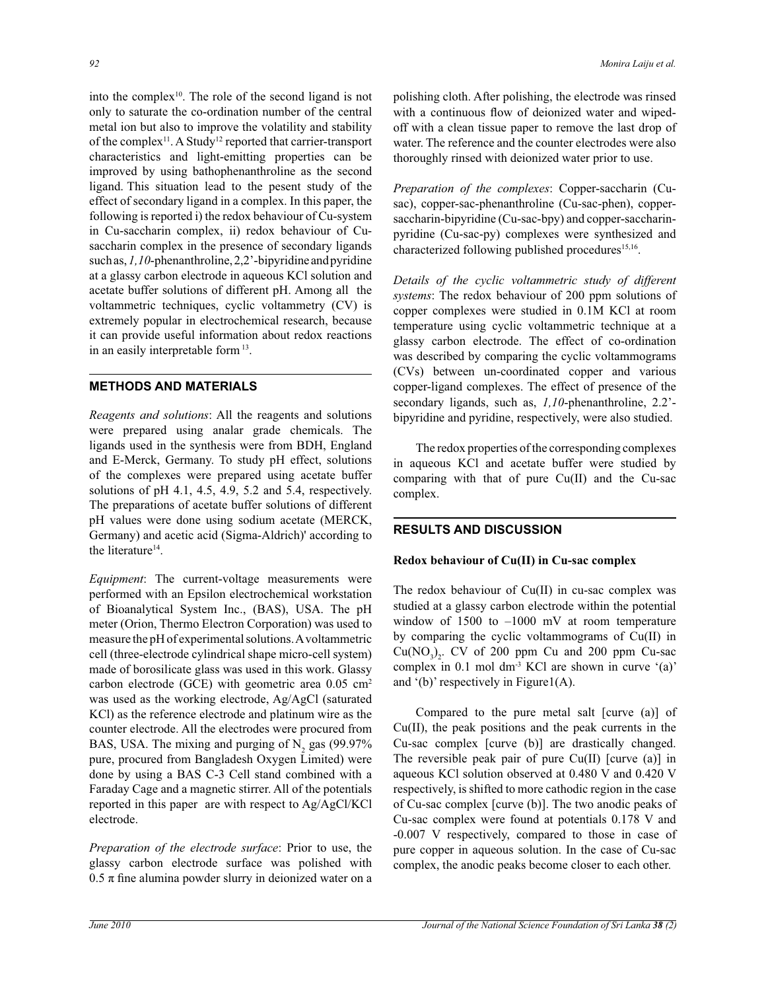into the complex<sup>10</sup>. The role of the second ligand is not only to saturate the co-ordination number of the central metal ion but also to improve the volatility and stability of the complex<sup>11</sup>. A Study<sup>12</sup> reported that carrier-transport characteristics and light-emitting properties can be improved by using bathophenanthroline as the second ligand. This situation lead to the pesent study of the effect of secondary ligand in a complex. In this paper, the following is reported i) the redox behaviour of Cu-system in Cu-saccharin complex, ii) redox behaviour of Cusaccharin complex in the presence of secondary ligands such as, *1,10*-phenanthroline, 2,2'-bipyridine and pyridine at a glassy carbon electrode in aqueous KCl solution and acetate buffer solutions of different pH. Among all the voltammetric techniques, cyclic voltammetry (CV) is extremely popular in electrochemical research, because it can provide useful information about redox reactions in an easily interpretable form<sup>13</sup>.

### **METHODS AND MATERIALS**

*Reagents and solutions*: All the reagents and solutions were prepared using analar grade chemicals. The ligands used in the synthesis were from BDH, England and E-Merck, Germany. To study pH effect, solutions of the complexes were prepared using acetate buffer solutions of pH 4.1, 4.5, 4.9, 5.2 and 5.4, respectively. The preparations of acetate buffer solutions of different pH values were done using sodium acetate (MERCK, Germany) and acetic acid (Sigma-Aldrich)' according to the literature<sup>14</sup>.

*Equipment*: The current-voltage measurements were performed with an Epsilon electrochemical workstation of Bioanalytical System Inc., (BAS), USA. The pH meter (Orion, Thermo Electron Corporation) was used to measure the pH of experimental solutions. A voltammetric cell (three-electrode cylindrical shape micro-cell system) made of borosilicate glass was used in this work. Glassy carbon electrode (GCE) with geometric area  $0.05 \text{ cm}^2$ was used as the working electrode, Ag/AgCl (saturated KCl) as the reference electrode and platinum wire as the counter electrode. All the electrodes were procured from BAS, USA. The mixing and purging of  $N_2$  gas (99.97%) pure, procured from Bangladesh Oxygen Limited) were done by using a BAS C-3 Cell stand combined with a Faraday Cage and a magnetic stirrer. All of the potentials reported in this paper are with respect to Ag/AgCl/KCl electrode.

*Preparation of the electrode surface*: Prior to use, the glassy carbon electrode surface was polished with  $0.5 \pi$  fine alumina powder slurry in deionized water on a polishing cloth. After polishing, the electrode was rinsed with a continuous flow of deionized water and wipedoff with a clean tissue paper to remove the last drop of water. The reference and the counter electrodes were also thoroughly rinsed with deionized water prior to use.

*Preparation of the complexes*: Copper-saccharin (Cusac), copper-sac-phenanthroline (Cu-sac-phen), coppersaccharin-bipyridine (Cu-sac-bpy) and copper-saccharinpyridine (Cu-sac-py) complexes were synthesized and characterized following published procedures<sup>15,16</sup>.

*Details of the cyclic voltammetric study of different systems*: The redox behaviour of 200 ppm solutions of copper complexes were studied in 0.1M KCl at room temperature using cyclic voltammetric technique at a glassy carbon electrode. The effect of co-ordination was described by comparing the cyclic voltammograms (CVs) between un-coordinated copper and various copper-ligand complexes. The effect of presence of the secondary ligands, such as, *1,10*-phenanthroline, 2.2' bipyridine and pyridine, respectively, were also studied.

 The redox properties of the corresponding complexes in aqueous KCl and acetate buffer were studied by comparing with that of pure Cu(II) and the Cu-sac complex.

# **RESULTS AND DISCUSSION**

#### **Redox behaviour of Cu(II) in Cu-sac complex**

The redox behaviour of Cu(II) in cu-sac complex was studied at a glassy carbon electrode within the potential window of  $1500$  to  $-1000$  mV at room temperature by comparing the cyclic voltammograms of Cu(II) in  $Cu(NO<sub>3</sub>)<sub>2</sub>$ . CV of 200 ppm Cu and 200 ppm Cu-sac complex in 0.1 mol dm-3 KCl are shown in curve '(a)' and  $'(b)$ ' respectively in Figure1(A).

Compared to the pure metal salt [curve (a)] of Cu(II), the peak positions and the peak currents in the Cu-sac complex [curve (b)] are drastically changed. The reversible peak pair of pure  $Cu(II)$  [curve (a)] in aqueous KCl solution observed at 0.480 V and 0.420 V respectively, is shifted to more cathodic region in the case of Cu-sac complex [curve (b)]. The two anodic peaks of Cu-sac complex were found at potentials 0.178 V and -0.007 V respectively, compared to those in case of pure copper in aqueous solution. In the case of Cu-sac complex, the anodic peaks become closer to each other.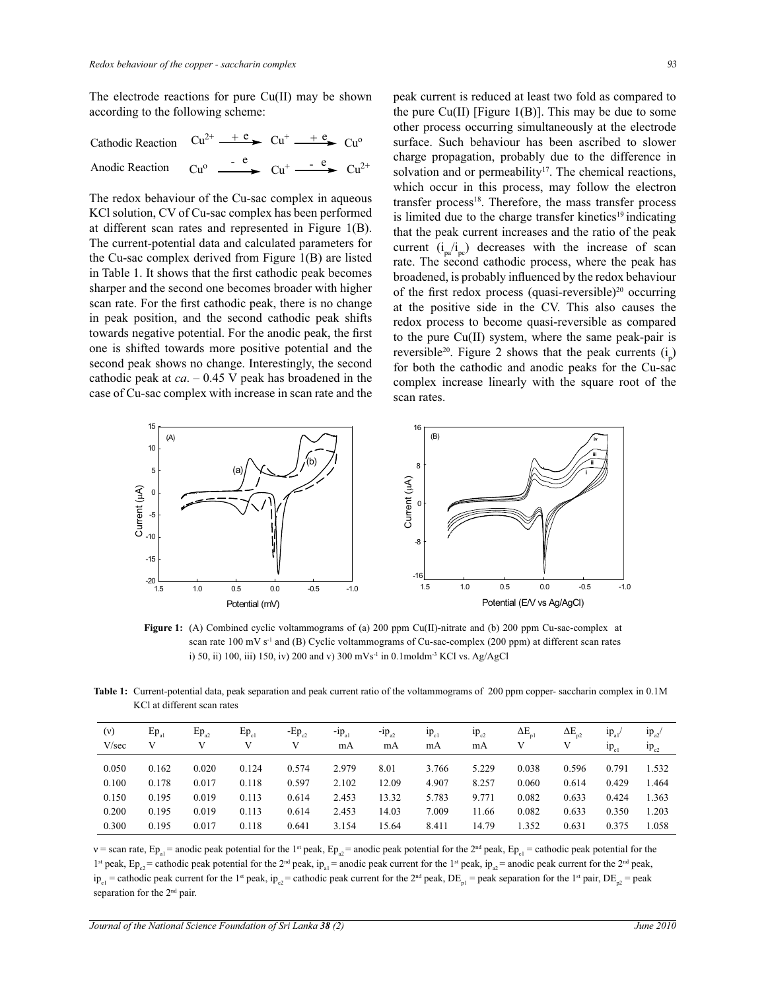The electrode reactions for pure Cu(II) may be shown according to the following scheme:

Cathodic Reaction  $Cu^{2+} \t+ e$   $Cu^{+} \t+ e$   $Cu^{0}$ Anodic Reaction  $Cu^{o} \xrightarrow{e} Cu^{+} \xrightarrow{e} Cu^{2+}$ 

The redox behaviour of the Cu-sac complex in aqueous KCl solution, CV of Cu-sac complex has been performed at different scan rates and represented in Figure 1(B). The current-potential data and calculated parameters for the Cu-sac complex derived from Figure 1(B) are listed in Table 1. It shows that the first cathodic peak becomes sharper and the second one becomes broader with higher scan rate. For the first cathodic peak, there is no change in peak position, and the second cathodic peak shifts towards negative potential. For the anodic peak, the first one is shifted towards more positive potential and the second peak shows no change. Interestingly, the second cathodic peak at *ca*. – 0.45 V peak has broadened in the case of Cu-sac complex with increase in scan rate and the peak current is reduced at least two fold as compared to the pure  $Cu(II)$  [Figure 1(B)]. This may be due to some other process occurring simultaneously at the electrode surface. Such behaviour has been ascribed to slower charge propagation, probably due to the difference in solvation and or permeability<sup>17</sup>. The chemical reactions, which occur in this process, may follow the electron transfer process<sup>18</sup>. Therefore, the mass transfer process is limited due to the charge transfer kinetics<sup>19</sup> indicating that the peak current increases and the ratio of the peak current  $(i_{pa} / i_{pc})$  decreases with the increase of scan rate. The second cathodic process, where the peak has broadened, is probably influenced by the redox behaviour of the first redox process (quasi-reversible)<sup>20</sup> occurring at the positive side in the CV. This also causes the redox process to become quasi-reversible as compared to the pure Cu(II) system, where the same peak-pair is reversible<sup>20</sup>. Figure 2 shows that the peak currents  $(i_p)$ for both the cathodic and anodic peaks for the Cu-sac complex increase linearly with the square root of the scan rates.



**Figure 1:** (A) Combined cyclic voltammograms of (a) 200 ppm Cu(II)-nitrate and (b) 200 ppm Cu-sac-complex at scan rate 100 mV s<sup>-1</sup> and (B) Cyclic voltammograms of Cu-sac-complex (200 ppm) at different scan rates i) 50, ii) 100, iii) 150, iv) 200 and v) 300 mVs<sup>-1</sup> in 0.1moldm<sup>-3</sup> KCl vs. Ag/AgCl

**Table 1:** Current-potential data, peak separation and peak current ratio of the voltammograms of 200 ppm copper- saccharin complex in 0.1M KCl at different scan rates

| (v)<br>V/sec | $Ep_{a1}$ | $Ep_{a2}$ | $Ep_{c1}$ | $-Ep_{c2}$<br>V | $-p_{a1}$<br>mA | $-p_{a2}$<br>mA | $_{1\text{p}}$ <sub>c1</sub><br>mA | $1p_{c2}$<br>mA | $\Delta E_{\text{pl}}$ | $\Delta E_{p2}$ | $1p_{a1}$<br>$np_{c1}$ | $1p_{a2}$<br>$1p_{c2}$ |
|--------------|-----------|-----------|-----------|-----------------|-----------------|-----------------|------------------------------------|-----------------|------------------------|-----------------|------------------------|------------------------|
| 0.050        | 0.162     | 0.020     | 0.124     | 0.574           | 2.979           | 8.01            | 3.766                              | 5.229           | 0.038                  | 0.596           | 0.791                  | 1.532                  |
| 0.100        | 0.178     | 0.017     | 0.118     | 0.597           | 2.102           | 12.09           | 4.907                              | 8.257           | 0.060                  | 0.614           | 0.429                  | 1.464                  |
| 0.150        | 0.195     | 0.019     | 0.113     | 0.614           | 2.453           | 13.32           | 5.783                              | 9.771           | 0.082                  | 0.633           | 0.424                  | 1.363                  |
| 0.200        | 0.195     | 0.019     | 0.113     | 0.614           | 2.453           | 14.03           | 7.009                              | 11.66           | 0.082                  | 0.633           | 0.350                  | 1.203                  |
| 0.300        | 0.195     | 0.017     | 0.118     | 0.641           | 3.154           | 15.64           | 8.411                              | 14.79           | 1.352                  | 0.631           | 0.375                  | 1.058                  |

v = scan rate,  $Ep_{a1}$  = anodic peak potential for the 1<sup>st</sup> peak,  $Ep_{a2}$  = anodic peak potential for the 2<sup>nd</sup> peak,  $Ep_{c1}$  = cathodic peak potential for the <sup>1st</sup> peak,  $Ep_{c2}$  = cathodic peak potential for the 2<sup>nd</sup> peak, ip<sub>a1</sub> = anodic peak current for the 1<sup>st</sup> peak, ip<sub>a2</sub> = anodic peak current for the 2<sup>nd</sup> peak,  $ip_{c1}$  = cathodic peak current for the 1<sup>st</sup> peak,  $ip_{c2}$  = cathodic peak current for the 2<sup>nd</sup> peak, DE<sub>n</sub><sup>1</sup> = peak separation for the 1<sup>st</sup> pair, DE<sub>n2</sub> = peak separation for the 2<sup>nd</sup> pair.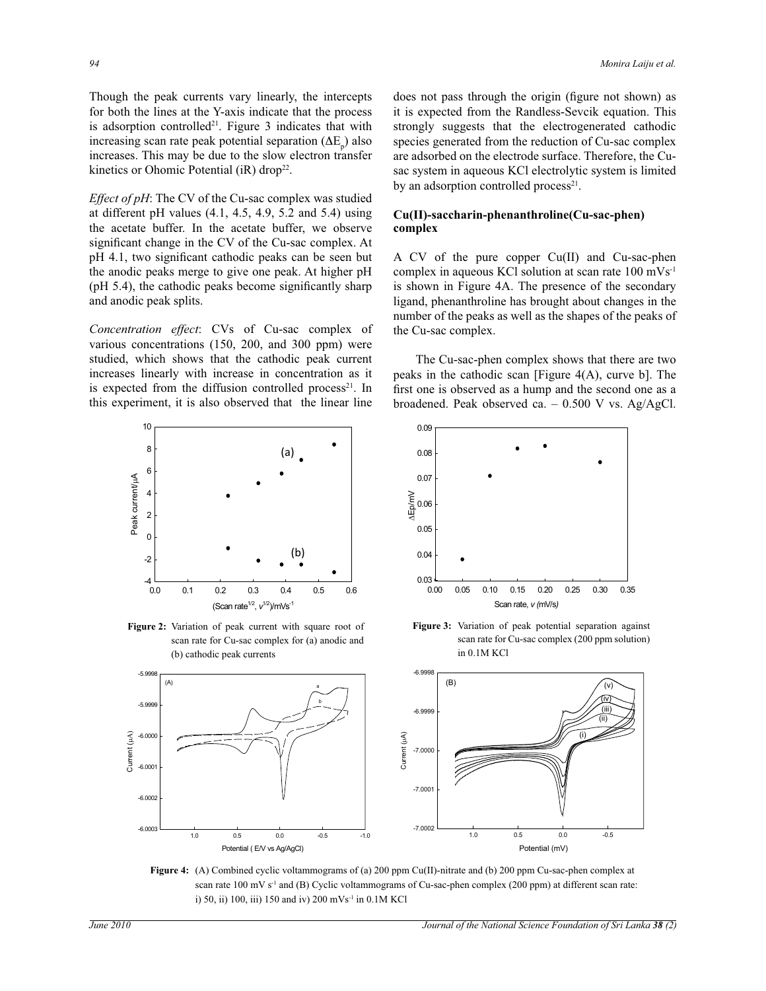Though the peak currents vary linearly, the intercepts for both the lines at the Y-axis indicate that the process is adsorption controlled<sup>21</sup>. Figure 3 indicates that with increasing scan rate peak potential separation  $(\Delta E_p)$  also increases. This may be due to the slow electron transfer kinetics or Ohomic Potential (iR) drop<sup>22</sup>.

*Effect of pH*: The CV of the Cu-sac complex was studied at different pH values (4.1, 4.5, 4.9, 5.2 and 5.4) using the acetate buffer. In the acetate buffer, we observe significant change in the CV of the Cu-sac complex. At pH 4.1, two significant cathodic peaks can be seen but the anodic peaks merge to give one peak. At higher pH (pH 5.4), the cathodic peaks become significantly sharp and anodic peak splits.

*Concentration effect*: CVs of Cu-sac complex of various concentrations (150, 200, and 300 ppm) were studied, which shows that the cathodic peak current increases linearly with increase in concentration as it is expected from the diffusion controlled process<sup>21</sup>. In this experiment, it is also observed that the linear line



**Figure 2:** Variation of peak current with square root of scan rate for Cu-sac complex for (a) anodic and (b) cathodic peak currents

does not pass through the origin (figure not shown) as it is expected from the Randless-Sevcik equation. This strongly suggests that the electrogenerated cathodic species generated from the reduction of Cu-sac complex are adsorbed on the electrode surface. Therefore, the Cusac system in aqueous KCl electrolytic system is limited by an adsorption controlled process<sup>21</sup>.

## **Cu(II)-saccharin-phenanthroline(Cu-sac-phen) complex**

A CV of the pure copper Cu(II) and Cu-sac-phen complex in aqueous KCl solution at scan rate 100 mVs-1 is shown in Figure 4A. The presence of the secondary ligand, phenanthroline has brought about changes in the number of the peaks as well as the shapes of the peaks of the Cu-sac complex.

 The Cu-sac-phen complex shows that there are two peaks in the cathodic scan [Figure 4(A), curve b]. The first one is observed as a hump and the second one as a broadened. Peak observed ca. – 0.500 V vs. Ag/AgCl.



**Figure 3:** Variation of peak potential separation against scan rate for Cu-sac complex (200 ppm solution) in 0.1M KCl



**Figure 4:** (A) Combined cyclic voltammograms of (a) 200 ppm Cu(II)-nitrate and (b) 200 ppm Cu-sac-phen complex at scan rate 100 mV s<sup>-1</sup> and (B) Cyclic voltammograms of Cu-sac-phen complex (200 ppm) at different scan rate: i) 50, ii) 100, iii) 150 and iv) 200 mVs-1 in 0.1M KCl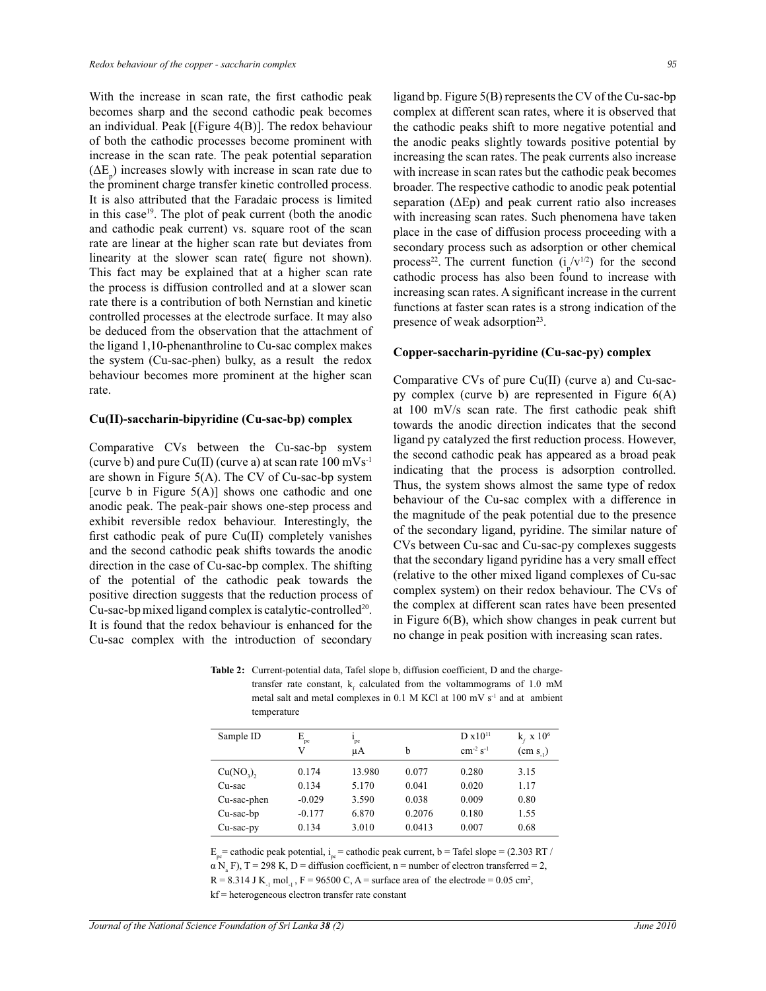With the increase in scan rate, the first cathodic peak becomes sharp and the second cathodic peak becomes an individual. Peak [(Figure 4(B)]. The redox behaviour of both the cathodic processes become prominent with increase in the scan rate. The peak potential separation  $(\Delta E_p)$  increases slowly with increase in scan rate due to the prominent charge transfer kinetic controlled process. It is also attributed that the Faradaic process is limited in this case<sup>19</sup>. The plot of peak current (both the anodic and cathodic peak current) vs. square root of the scan rate are linear at the higher scan rate but deviates from linearity at the slower scan rate( figure not shown). This fact may be explained that at a higher scan rate the process is diffusion controlled and at a slower scan rate there is a contribution of both Nernstian and kinetic controlled processes at the electrode surface. It may also be deduced from the observation that the attachment of the ligand 1,10-phenanthroline to Cu-sac complex makes the system (Cu-sac-phen) bulky, as a result the redox behaviour becomes more prominent at the higher scan rate.

#### **Cu(II)-saccharin-bipyridine (Cu-sac-bp) complex**

Comparative CVs between the Cu-sac-bp system (curve b) and pure Cu(II) (curve a) at scan rate  $100 \text{ mVs}^{-1}$ are shown in Figure 5(A). The CV of Cu-sac-bp system [curve b in Figure  $5(A)$ ] shows one cathodic and one anodic peak. The peak-pair shows one-step process and exhibit reversible redox behaviour. Interestingly, the first cathodic peak of pure Cu(II) completely vanishes and the second cathodic peak shifts towards the anodic direction in the case of Cu-sac-bp complex. The shifting of the potential of the cathodic peak towards the positive direction suggests that the reduction process of Cu-sac-bp mixed ligand complex is catalytic-controlled<sup>20</sup>. It is found that the redox behaviour is enhanced for the Cu-sac complex with the introduction of secondary

ligand bp. Figure 5(B) represents the CV of the Cu-sac-bp complex at different scan rates, where it is observed that the cathodic peaks shift to more negative potential and the anodic peaks slightly towards positive potential by increasing the scan rates. The peak currents also increase with increase in scan rates but the cathodic peak becomes broader. The respective cathodic to anodic peak potential separation  $(\Delta Ep)$  and peak current ratio also increases with increasing scan rates. Such phenomena have taken place in the case of diffusion process proceeding with a secondary process such as adsorption or other chemical process<sup>22</sup>. The current function  $(i_p/v^{1/2})$  for the second cathodic process has also been found to increase with increasing scan rates. A significant increase in the current functions at faster scan rates is a strong indication of the presence of weak adsorption<sup>23</sup>.

#### **Copper-saccharin-pyridine (Cu-sac-py) complex**

Comparative CVs of pure Cu(II) (curve a) and Cu-sacpy complex (curve b) are represented in Figure 6(A) at 100 mV/s scan rate. The first cathodic peak shift towards the anodic direction indicates that the second ligand py catalyzed the first reduction process. However, the second cathodic peak has appeared as a broad peak indicating that the process is adsorption controlled. Thus, the system shows almost the same type of redox behaviour of the Cu-sac complex with a difference in the magnitude of the peak potential due to the presence of the secondary ligand, pyridine. The similar nature of CVs between Cu-sac and Cu-sac-py complexes suggests that the secondary ligand pyridine has a very small effect (relative to the other mixed ligand complexes of Cu-sac complex system) on their redox behaviour. The CVs of the complex at different scan rates have been presented in Figure 6(B), which show changes in peak current but no change in peak position with increasing scan rates.

**Table 2:** Current-potential data, Tafel slope b, diffusion coefficient, D and the chargetransfer rate constant,  $k_f$  calculated from the voltammograms of 1.0 mM metal salt and metal complexes in 0.1 M KCl at 100 mV s<sup>-1</sup> and at ambient temperature

| Sample ID    | $E_{pc}$ | $1_{\rm pc}$ |        | D x 10 <sup>11</sup>      | $k_r \ge 10^6$       |
|--------------|----------|--------------|--------|---------------------------|----------------------|
|              | V        | μA           | b      | $cm^{-2}$ s <sup>-1</sup> | (cm s <sub>1</sub> ) |
| $Cu(NO3)$ ,  | 0.174    | 13.980       | 0.077  | 0.280                     | 3.15                 |
| Cu-sac       | 0.134    | 5.170        | 0.041  | 0.020                     | 1.17                 |
| Cu-sac-phen  | $-0.029$ | 3.590        | 0.038  | 0.009                     | 0.80                 |
| Cu-sac-bp    | $-0.177$ | 6.870        | 0.2076 | 0.180                     | 1.55                 |
| $Cu$ -sac-py | 0.134    | 3.010        | 0.0413 | 0.007                     | 0.68                 |

 $E_{pe}$  = cathodic peak potential,  $i_{pe}$  = cathodic peak current, b = Tafel slope = (2.303 RT /  $\alpha$  N<sub>a</sub> F), T = 298 K, D = diffusion coefficient, n = number of electron transferred = 2,

 $R = 8.314$  J K<sub>-1</sub> mol<sub>-1</sub>,  $F = 96500$  C, A = surface area of the electrode = 0.05 cm<sup>2</sup>,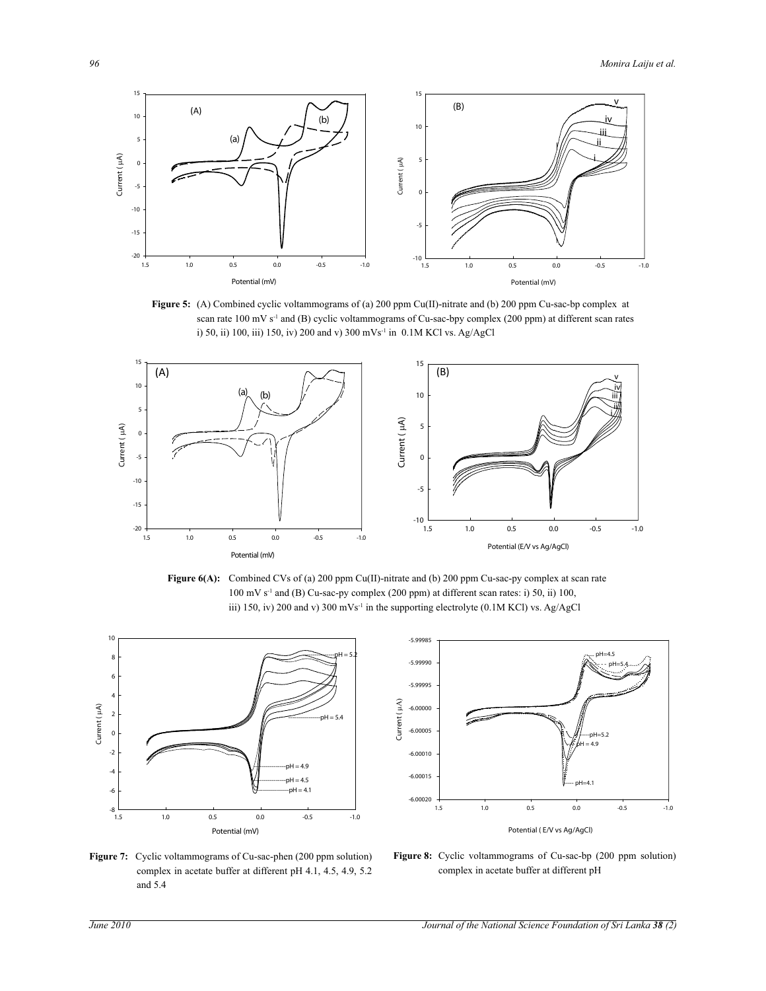

**Figure 5:** (A) Combined cyclic voltammograms of (a) 200 ppm Cu(II)-nitrate and (b) 200 ppm Cu-sac-bp complex at scan rate 100 mV s<sup>-1</sup> and (B) cyclic voltammograms of Cu-sac-bpy complex (200 ppm) at different scan rates i) 50, ii) 100, iii) 150, iv) 200 and v) 300 mVs-1 in 0.1M KCl vs. Ag/AgCl



Figure 6(A): Combined CVs of (a) 200 ppm Cu(II)-nitrate and (b) 200 ppm Cu-sac-py complex at scan rate  $100 \text{ mV s}^{-1}$  and (B) Cu-sac-py complex (200 ppm) at different scan rates: i) 50, ii) 100, iii) 150, iv) 200 and v) 300 mVs<sup>-1</sup> in the supporting electrolyte (0.1M KCl) vs. Ag/AgCl





Figure 7: Cyclic voltammograms of Cu-sac-phen (200 ppm solution) complex in acetate buffer at different pH 4.1, 4.5, 4.9, 5.2 and 5.4

**Figure 8:** Cyclic voltammograms of Cu-sac-bp (200 ppm solution) complex in acetate buffer at different pH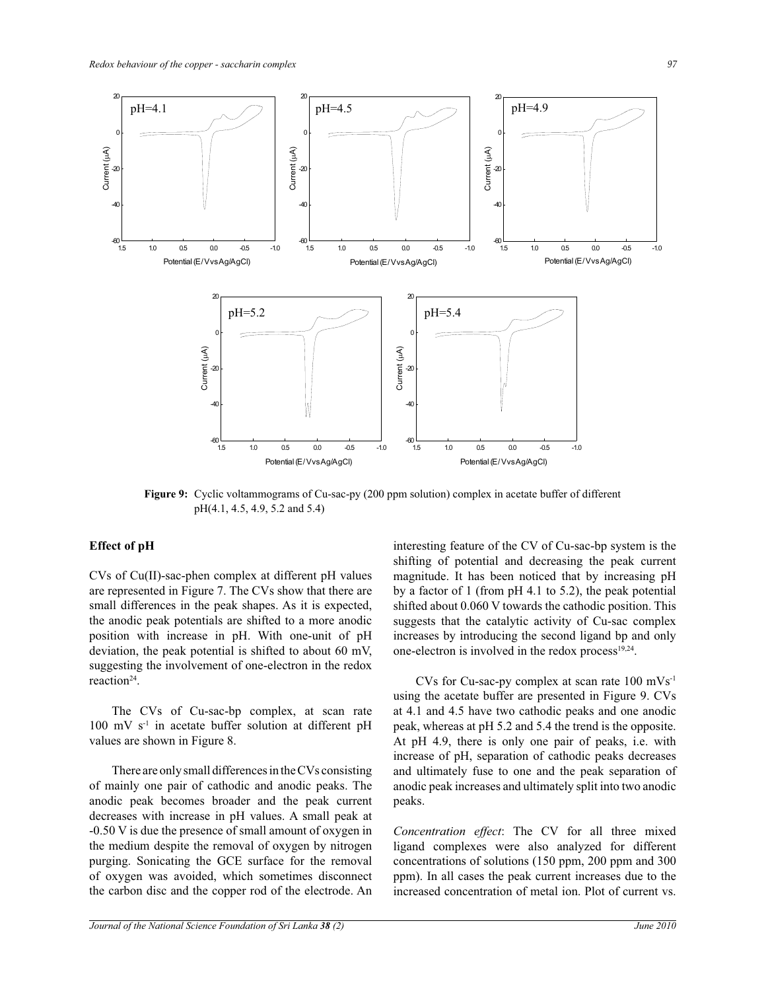

**Figure 9:** Cyclic voltammograms of Cu-sac-py (200 ppm solution) complex in acetate buffer of different pH(4.1, 4.5, 4.9, 5.2 and 5.4)

## **Effect of pH**

CVs of Cu(II)-sac-phen complex at different pH values are represented in Figure 7. The CVs show that there are small differences in the peak shapes. As it is expected, the anodic peak potentials are shifted to a more anodic position with increase in pH. With one-unit of pH deviation, the peak potential is shifted to about 60 mV, suggesting the involvement of one-electron in the redox reaction<sup>24</sup>.

 The CVs of Cu-sac-bp complex, at scan rate 100 mV s-1 in acetate buffer solution at different pH values are shown in Figure 8.

 There are only small differences in the CVs consisting of mainly one pair of cathodic and anodic peaks. The anodic peak becomes broader and the peak current decreases with increase in pH values. A small peak at -0.50 V is due the presence of small amount of oxygen in the medium despite the removal of oxygen by nitrogen purging. Sonicating the GCE surface for the removal of oxygen was avoided, which sometimes disconnect the carbon disc and the copper rod of the electrode. An

interesting feature of the CV of Cu-sac-bp system is the shifting of potential and decreasing the peak current magnitude. It has been noticed that by increasing pH by a factor of 1 (from pH 4.1 to 5.2), the peak potential shifted about 0.060 V towards the cathodic position. This suggests that the catalytic activity of Cu-sac complex increases by introducing the second ligand bp and only one-electron is involved in the redox process $19,24$ .

 CVs for Cu-sac-py complex at scan rate 100 mVs-1 using the acetate buffer are presented in Figure 9. CVs at 4.1 and 4.5 have two cathodic peaks and one anodic peak, whereas at pH 5.2 and 5.4 the trend is the opposite. At pH 4.9, there is only one pair of peaks, i.e. with increase of pH, separation of cathodic peaks decreases and ultimately fuse to one and the peak separation of anodic peak increases and ultimately split into two anodic peaks.

*Concentration effect*: The CV for all three mixed ligand complexes were also analyzed for different concentrations of solutions (150 ppm, 200 ppm and 300 ppm). In all cases the peak current increases due to the increased concentration of metal ion. Plot of current vs.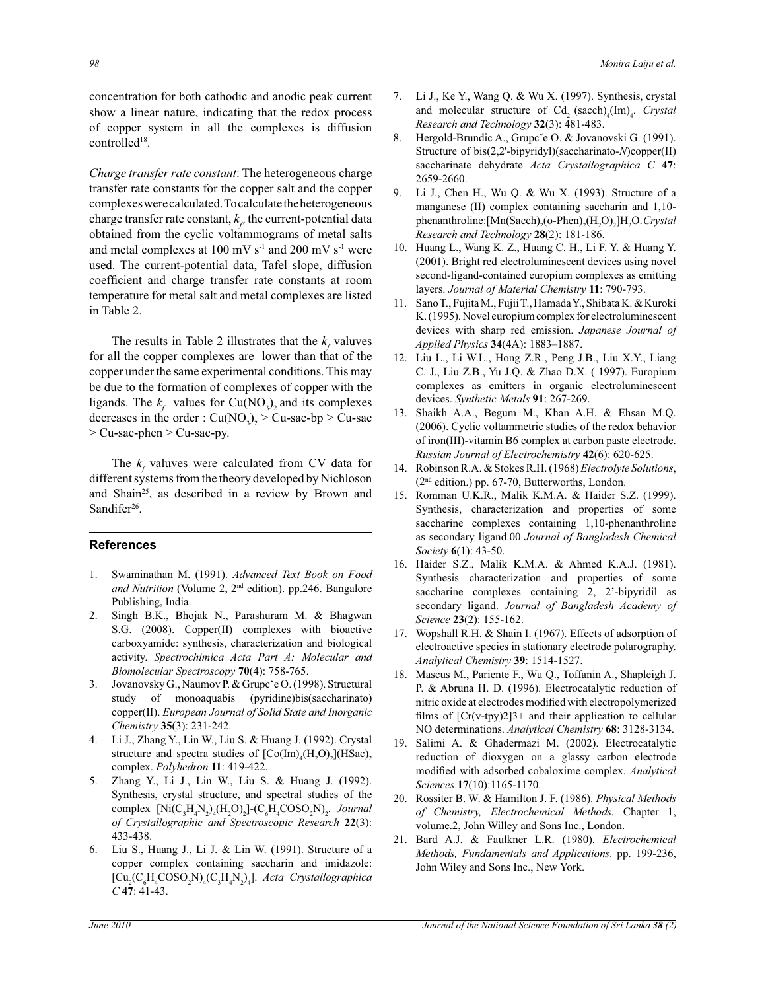concentration for both cathodic and anodic peak current show a linear nature, indicating that the redox process of copper system in all the complexes is diffusion controlled<sup>18</sup>.

*Charge transfer rate constant*: The heterogeneous charge transfer rate constants for the copper salt and the copper complexes were calculated. To calculate the heterogeneous charge transfer rate constant,  $k<sub>r</sub>$ , the current-potential data obtained from the cyclic voltammograms of metal salts and metal complexes at 100 mV  $s^{-1}$  and 200 mV  $s^{-1}$  were used. The current-potential data, Tafel slope, diffusion coefficient and charge transfer rate constants at room temperature for metal salt and metal complexes are listed in Table 2.

The results in Table 2 illustrates that the  $k_f$  valuves for all the copper complexes are lower than that of the copper under the same experimental conditions. This may be due to the formation of complexes of copper with the ligands. The  $k_f$  values for Cu(NO<sub>3</sub>)<sub>2</sub> and its complexes decreases in the order :  $Cu(NO<sub>3</sub>)<sub>2</sub> > Cu-sac-bp > Cu-sac$ > Cu-sac-phen > Cu-sac-py.

The  $k_f$  valuves were calculated from CV data for different systems from the theory developed by Nichloson and Shain<sup>25</sup>, as described in a review by Brown and Sandifer<sup>26</sup>.

### **References**

- 1. Swaminathan M. (1991). *Advanced Text Book on Food*  and Nutrition (Volume 2, 2<sup>nd</sup> edition). pp.246. Bangalore Publishing, India.
- 2. Singh B.K., Bhojak N., Parashuram M. & Bhagwan S.G. (2008). Copper(II) complexes with bioactive carboxyamide: synthesis, characterization and biological activity. *Spectrochimica Acta Part A: Molecular and Biomolecular Spectroscopy* **70**(4): 758-765.
- 3. Jovanovsky G., Naumov P. & Grupcˇe O. (1998). Structural study of monoaquabis (pyridine)bis(saccharinato) copper(II). *European Journal of Solid State and Inorganic Chemistry* **35**(3): 231-242.
- 4. Li J., Zhang Y., Lin W., Liu S. & Huang J. (1992). Crystal structure and spectra studies of  $[Co(Im)_4(H_2O)_2](HSac)_2$ complex. *Polyhedron* **11**: 419-422.
- 5. Zhang Y., Li J., Lin W., Liu S. & Huang J. (1992). Synthesis, crystal structure, and spectral studies of the complex  $\left[Ni(C_3H_4N_2)(H_2O)_2\right]$ - $\left(C_6H_4COSO_2N\right)_2$ . *Journal of Crystallographic and Spectroscopic Research* **22**(3): 433-438.
- 6. Liu S., Huang J., Li J. & Lin W. (1991). Structure of a copper complex containing saccharin and imidazole:  $\left[\text{Cu}_{2}\text{(C}_{6}\text{H}_{4}\text{COSO}_{2}\text{N}\right]$  $\left(\text{C}_{3}\text{H}_{4}\text{N}_{2}\right)$ <sub>4</sub> $\right]$ . *Acta Crystallographica C* **47**: 41-43.
- 7. Li J., Ke Y., Wang Q. & Wu X. (1997). Synthesis, crystal and molecular structure of  $Cd<sub>2</sub>$  (sacch)<sub>4</sub>(Im)<sub>4</sub>. *Crystal Research and Technology* **32**(3): 481-483.
- 8. Hergold-Brundic A., Grupc'e O. & Jovanovski G. (1991). Structure of bis(2,2'-bipyridyl)(saccharinato-*N*)copper(II) saccharinate dehydrate *Acta Crystallographica C* **47**: 2659-2660.
- 9. Li J., Chen H., Wu Q. & Wu X. (1993). Structure of a manganese (II) complex containing saccharin and 1,10 phenanthroline: [Mn(Sacch)<sub>2</sub>(o-Phen)<sub>2</sub>(H<sub>2</sub>O)<sub>2</sub>]H<sub>2</sub>O. *Crystal Research and Technology* **28**(2): 181-186.
- 10. Huang L., Wang K. Z., Huang C. H., Li F. Y. & Huang Y. (2001). Bright red electroluminescent devices using novel second-ligand-contained europium complexes as emitting layers. *Journal of Material Chemistry* **11**: 790-793.
- 11. Sano T., Fujita M., Fujii T., Hamada Y., Shibata K. & Kuroki K. (1995). Novel europium complex for electroluminescent devices with sharp red emission. *Japanese Journal of Applied Physics* **34**(4A): 1883*–*1887.
- 12. Liu L., Li W.L., Hong Z.R., Peng J.B., Liu X.Y., Liang C. J., Liu Z.B., Yu J.Q. & Zhao D.X. ( 1997). Europium complexes as emitters in organic electroluminescent devices. *Synthetic Metals* **91**: 267-269.
- 13. Shaikh A.A., Begum M., Khan A.H. & Ehsan M.Q. (2006). Cyclic voltammetric studies of the redox behavior of iron(III)-vitamin B6 complex at carbon paste electrode. *Russian Journal of Electrochemistry* **42**(6): 620-625.
- 14. Robinson R.A. & Stokes R.H. (1968) *Electrolyte Solutions*, (2nd edition.) pp. 67-70, Butterworths, London.
- 15. Romman U.K.R., Malik K.M.A. & Haider S.Z. (1999). Synthesis, characterization and properties of some saccharine complexes containing 1,10-phenanthroline as secondary ligand.00 *Journal of Bangladesh Chemical Society* **6**(1): 43-50.
- 16. Haider S.Z., Malik K.M.A. & Ahmed K.A.J. (1981). Synthesis characterization and properties of some saccharine complexes containing 2, 2'-bipyridil as secondary ligand. *Journal of Bangladesh Academy of Science* **23**(2): 155-162.
- 17. Wopshall R.H. & Shain I. (1967). Effects of adsorption of electroactive species in stationary electrode polarography. *Analytical Chemistry* **39**: 1514-1527.
- 18. Mascus M., Pariente F., Wu Q., Toffanin A., Shapleigh J. P. & Abruna H. D. (1996). Electrocatalytic reduction of nitric oxide at electrodes modified with electropolymerized films of  $[Cr(v+tpy)2]$ 3+ and their application to cellular NO determinations. *Analytical Chemistry* **68**: 3128-3134.
- 19. Salimi A. & Ghadermazi M. (2002). Electrocatalytic reduction of dioxygen on a glassy carbon electrode modified with adsorbed cobaloxime complex. *Analytical Sciences* **17**(10):1165-1170.
- 20. Rossiter B. W. & Hamilton J. F. (1986). *Physical Methods of Chemistry, Electrochemical Methods.* Chapter 1, volume.2, John Willey and Sons Inc., London.
- 21. Bard A.J. & Faulkner L.R. (1980). Electrochemical *Methods, Fundamentals and Applications*. pp. 199-236, John Wiley and Sons Inc., New York.